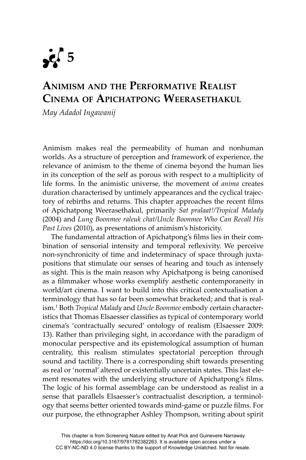# •**<sup>5</sup>**

## **Animism and the Performative Realist Cinema of Apichatpong Weerasethakul**

*May Adadol Ingawanij*

Animism makes real the permeability of human and nonhuman worlds. As a structure of perception and framework of experience, the relevance of animism to the theme of cinema beyond the human lies in its conception of the self as porous with respect to a multiplicity of life forms. In the animistic universe, the movement of *anima* creates duration characterised by untimely appearances and the cyclical trajectory of rebirths and returns. This chapter approaches the recent films of Apichatpong Weerasethakul, primarily *Sat pralaat!/Tropical Malady* (2004) and *Lung Boonmee raleuk chat/Uncle Boonmee Who Can Recall His Past Lives* (2010), as presentations of animism's historicity.

The fundamental attraction of Apichatpong's films lies in their combination of sensorial intensity and temporal reflexivity. We perceive non-synchronicity of time and indeterminacy of space through juxtapositions that stimulate our senses of hearing and touch as intensely as sight. This is the main reason why Apichatpong is being canonised as a filmmaker whose works exemplify aesthetic contemporaneity in world/art cinema. I want to build into this critical contextualisation a terminology that has so far been somewhat bracketed; and that is realism.1 Both *Tropical Malady* and *Uncle Boonmee* embody certain characteristics that Thomas Elsaesser classifies as typical of contemporary world cinema's 'contractually secured' ontology of realism (Elsaesser 2009: 13). Rather than privileging sight, in accordance with the paradigm of monocular perspective and its epistemological assumption of human centrality, this realism stimulates spectatorial perception through sound and tactility. There is a corresponding shift towards presenting as real or 'normal' altered or existentially uncertain states. This last element resonates with the underlying structure of Apichatpong's films. The logic of his formal assemblage can be understood as realist in a sense that parallels Elsaesser's contractualist description, a terminology that seems better oriented towards mind-game or puzzle films. For our purpose, the ethnographer Ashley Thompson, writing about spirit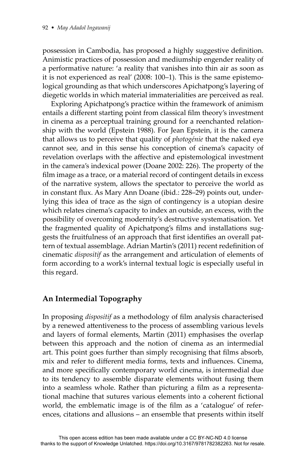possession in Cambodia, has proposed a highly suggestive definition. Animistic practices of possession and mediumship engender reality of a performative nature: 'a reality that vanishes into thin air as soon as it is not experienced as real' (2008: 100–1). This is the same epistemological grounding as that which underscores Apichatpong's layering of diegetic worlds in which material immaterialities are perceived as real.

Exploring Apichatpong's practice within the framework of animism entails a different starting point from classical film theory's investment in cinema as a perceptual training ground for a reenchanted relationship with the world (Epstein 1988). For Jean Epstein, it is the camera that allows us to perceive that quality of *photogénie* that the naked eye cannot see, and in this sense his conception of cinema's capacity of revelation overlaps with the affective and epistemological investment in the camera's indexical power (Doane 2002: 226). The property of the film image as a trace, or a material record of contingent details in excess of the narrative system, allows the spectator to perceive the world as in constant flux. As Mary Ann Doane (ibid.: 228–29) points out, underlying this idea of trace as the sign of contingency is a utopian desire which relates cinema's capacity to index an outside, an excess, with the possibility of overcoming modernity's destructive systematisation. Yet the fragmented quality of Apichatpong's films and installations suggests the fruitfulness of an approach that first identifies an overall pattern of textual assemblage. Adrian Martin's (2011) recent redefinition of cinematic *dispositif* as the arrangement and articulation of elements of form according to a work's internal textual logic is especially useful in this regard.

### **An Intermedial Topography**

In proposing *dispositif* as a methodology of film analysis characterised by a renewed attentiveness to the process of assembling various levels and layers of formal elements, Martin (2011) emphasises the overlap between this approach and the notion of cinema as an intermedial art. This point goes further than simply recognising that films absorb, mix and refer to different media forms, texts and influences. Cinema, and more specifically contemporary world cinema, is intermedial due to its tendency to assemble disparate elements without fusing them into a seamless whole. Rather than picturing a film as a representational machine that sutures various elements into a coherent fictional world, the emblematic image is of the film as a 'catalogue' of references, citations and allusions – an ensemble that presents within itself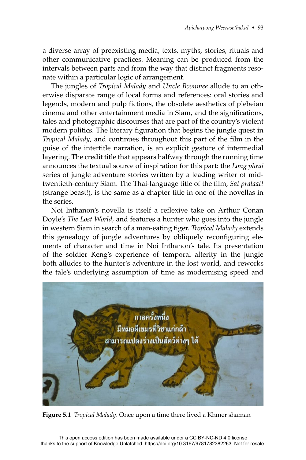a diverse array of preexisting media, texts, myths, stories, rituals and other communicative practices. Meaning can be produced from the intervals between parts and from the way that distinct fragments resonate within a particular logic of arrangement.

The jungles of *Tropical Malady* and *Uncle Boonmee* allude to an otherwise disparate range of local forms and references: oral stories and legends, modern and pulp fictions, the obsolete aesthetics of plebeian cinema and other entertainment media in Siam, and the significations, tales and photographic discourses that are part of the country's violent modern politics. The literary figuration that begins the jungle quest in *Tropical Malady*, and continues throughout this part of the film in the guise of the intertitle narration, is an explicit gesture of intermedial layering. The credit title that appears halfway through the running time announces the textual source of inspiration for this part: the *Long phrai*  series of jungle adventure stories written by a leading writer of midtwentieth-century Siam. The Thai-language title of the film, *Sat pralaat!* (strange beast!), is the same as a chapter title in one of the novellas in the series.

Noi Inthanon's novella is itself a reflexive take on Arthur Conan Doyle's *The Lost World*, and features a hunter who goes into the jungle in western Siam in search of a man-eating tiger. *Tropical Malady* extends this genealogy of jungle adventures by obliquely reconfiguring elements of character and time in Noi Inthanon's tale. Its presentation of the soldier Keng's experience of temporal alterity in the jungle both alludes to the hunter's adventure in the lost world, and reworks the tale's underlying assumption of time as modernising speed and



**Figure 5.1** *Tropical Malady*. Once upon a time there lived a Khmer shaman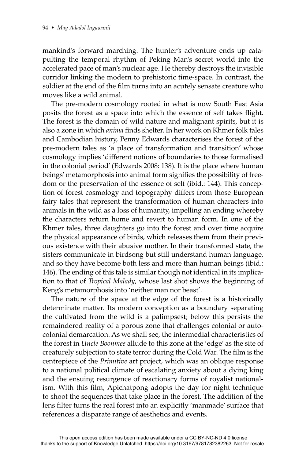mankind's forward marching. The hunter's adventure ends up catapulting the temporal rhythm of Peking Man's secret world into the accelerated pace of man's nuclear age. He thereby destroys the invisible corridor linking the modern to prehistoric time-space. In contrast, the soldier at the end of the film turns into an acutely sensate creature who moves like a wild animal.

The pre-modern cosmology rooted in what is now South East Asia posits the forest as a space into which the essence of self takes flight. The forest is the domain of wild nature and malignant spirits, but it is also a zone in which *anima* finds shelter. In her work on Khmer folk tales and Cambodian history, Penny Edwards characterises the forest of the pre-modern tales as 'a place of transformation and transition' whose cosmology implies 'different notions of boundaries to those formalised in the colonial period' (Edwards 2008: 138). It is the place where human beings' metamorphosis into animal form signifies the possibility of freedom or the preservation of the essence of self (ibid.: 144). This conception of forest cosmology and topography differs from those European fairy tales that represent the transformation of human characters into animals in the wild as a loss of humanity, impelling an ending whereby the characters return home and revert to human form. In one of the Khmer tales, three daughters go into the forest and over time acquire the physical appearance of birds, which releases them from their previous existence with their abusive mother. In their transformed state, the sisters communicate in birdsong but still understand human language, and so they have become both less and more than human beings (ibid.: 146). The ending of this tale is similar though not identical in its implication to that of *Tropical Malady*, whose last shot shows the beginning of Keng's metamorphosis into 'neither man nor beast'.

The nature of the space at the edge of the forest is a historically determinate matter. Its modern conception as a boundary separating the cultivated from the wild is a palimpsest; below this persists the remaindered reality of a porous zone that challenges colonial or autocolonial demarcation. As we shall see, the intermedial characteristics of the forest in *Uncle Boonmee* allude to this zone at the 'edge' as the site of creaturely subjection to state terror during the Cold War. The film is the centrepiece of the *Primitive* art project, which was an oblique response to a national political climate of escalating anxiety about a dying king and the ensuing resurgence of reactionary forms of royalist nationalism. With this film, Apichatpong adopts the day for night technique to shoot the sequences that take place in the forest. The addition of the lens filter turns the real forest into an explicitly 'manmade' surface that references a disparate range of aesthetics and events.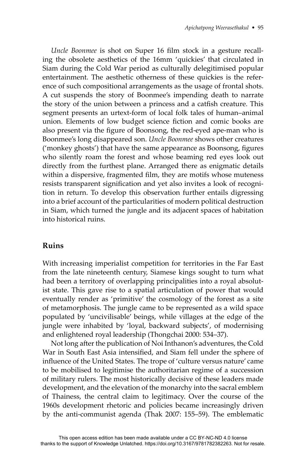*Uncle Boonmee* is shot on Super 16 film stock in a gesture recalling the obsolete aesthetics of the 16mm 'quickies' that circulated in Siam during the Cold War period as culturally delegitimised popular entertainment. The aesthetic otherness of these quickies is the reference of such compositional arrangements as the usage of frontal shots. A cut suspends the story of Boonmee's impending death to narrate the story of the union between a princess and a catfish creature. This segment presents an urtext-form of local folk tales of human–animal union. Elements of low budget science fiction and comic books are also present via the figure of Boonsong, the red-eyed ape-man who is Boonmee's long disappeared son. *Uncle Boonmee* shows other creatures ('monkey ghosts') that have the same appearance as Boonsong, figures who silently roam the forest and whose beaming red eyes look out directly from the furthest plane. Arranged there as enigmatic details within a dispersive, fragmented film, they are motifs whose muteness resists transparent signification and yet also invites a look of recognition in return. To develop this observation further entails digressing into a brief account of the particularities of modern political destruction in Siam, which turned the jungle and its adjacent spaces of habitation into historical ruins.

#### **Ruins**

With increasing imperialist competition for territories in the Far East from the late nineteenth century, Siamese kings sought to turn what had been a territory of overlapping principalities into a royal absolutist state. This gave rise to a spatial articulation of power that would eventually render as 'primitive' the cosmology of the forest as a site of metamorphosis. The jungle came to be represented as a wild space populated by 'uncivilisable' beings, while villages at the edge of the jungle were inhabited by 'loyal, backward subjects', of modernising and enlightened royal leadership (Thongchai 2000: 534–37).

Not long after the publication of Noi Inthanon's adventures, the Cold War in South East Asia intensified, and Siam fell under the sphere of influence of the United States. The trope of 'culture versus nature' came to be mobilised to legitimise the authoritarian regime of a succession of military rulers. The most historically decisive of these leaders made development, and the elevation of the monarchy into the sacral emblem of Thainess, the central claim to legitimacy. Over the course of the 1960s development rhetoric and policies became increasingly driven by the anti-communist agenda (Thak 2007: 155–59). The emblematic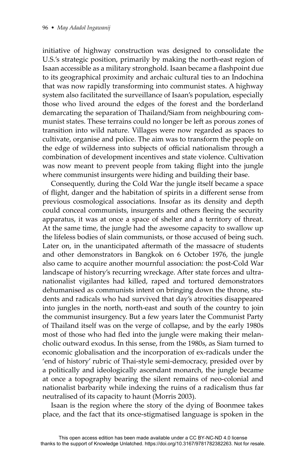initiative of highway construction was designed to consolidate the U.S.'s strategic position, primarily by making the north-east region of Isaan accessible as a military stronghold. Isaan became a flashpoint due to its geographical proximity and archaic cultural ties to an Indochina that was now rapidly transforming into communist states. A highway system also facilitated the surveillance of Isaan's population, especially those who lived around the edges of the forest and the borderland demarcating the separation of Thailand/Siam from neighbouring communist states. These terrains could no longer be left as porous zones of transition into wild nature. Villages were now regarded as spaces to cultivate, organise and police. The aim was to transform the people on the edge of wilderness into subjects of official nationalism through a combination of development incentives and state violence. Cultivation was now meant to prevent people from taking flight into the jungle where communist insurgents were hiding and building their base.

Consequently, during the Cold War the jungle itself became a space of flight, danger and the habitation of spirits in a different sense from previous cosmological associations. Insofar as its density and depth could conceal communists, insurgents and others fleeing the security apparatus, it was at once a space of shelter and a territory of threat. At the same time, the jungle had the awesome capacity to swallow up the lifeless bodies of slain communists, or those accused of being such. Later on, in the unanticipated aftermath of the massacre of students and other demonstrators in Bangkok on 6 October 1976, the jungle also came to acquire another mournful association: the post-Cold War landscape of history's recurring wreckage. After state forces and ultranationalist vigilantes had killed, raped and tortured demonstrators dehumanised as communists intent on bringing down the throne, students and radicals who had survived that day's atrocities disappeared into jungles in the north, north-east and south of the country to join the communist insurgency. But a few years later the Communist Party of Thailand itself was on the verge of collapse, and by the early 1980s most of those who had fled into the jungle were making their melancholic outward exodus. In this sense, from the 1980s, as Siam turned to economic globalisation and the incorporation of ex-radicals under the 'end of history' rubric of Thai-style semi-democracy, presided over by a politically and ideologically ascendant monarch, the jungle became at once a topography bearing the silent remains of neo-colonial and nationalist barbarity while indexing the ruins of a radicalism thus far neutralised of its capacity to haunt (Morris 2003).

Isaan is the region where the story of the dying of Boonmee takes place, and the fact that its once-stigmatised language is spoken in the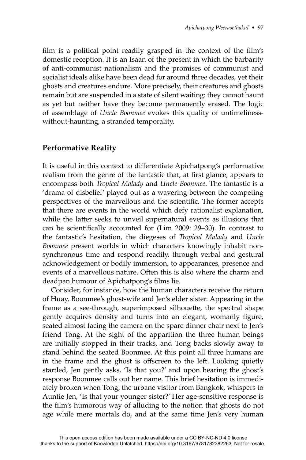film is a political point readily grasped in the context of the film's domestic reception. It is an Isaan of the present in which the barbarity of anti-communist nationalism and the promises of communist and socialist ideals alike have been dead for around three decades, yet their ghosts and creatures endure. More precisely, their creatures and ghosts remain but are suspended in a state of silent waiting: they cannot haunt as yet but neither have they become permanently erased. The logic of assemblage of *Uncle Boonmee* evokes this quality of untimelinesswithout-haunting, a stranded temporality.

#### **Performative Reality**

It is useful in this context to differentiate Apichatpong's performative realism from the genre of the fantastic that, at first glance, appears to encompass both *Tropical Malady* and *Uncle Boonmee*. The fantastic is a 'drama of disbelief' played out as a wavering between the competing perspectives of the marvellous and the scientific. The former accepts that there are events in the world which defy rationalist explanation, while the latter seeks to unveil supernatural events as illusions that can be scientifically accounted for (Lim 2009: 29–30). In contrast to the fantastic's hesitation, the diegeses of *Tropical Malady* and *Uncle Boonmee* present worlds in which characters knowingly inhabit nonsynchronous time and respond readily, through verbal and gestural acknowledgement or bodily immersion, to appearances, presence and events of a marvellous nature. Often this is also where the charm and deadpan humour of Apichatpong's films lie.

Consider, for instance, how the human characters receive the return of Huay, Boonmee's ghost-wife and Jen's elder sister. Appearing in the frame as a see-through, superimposed silhouette, the spectral shape gently acquires density and turns into an elegant, womanly figure, seated almost facing the camera on the spare dinner chair next to Jen's friend Tong. At the sight of the apparition the three human beings are initially stopped in their tracks, and Tong backs slowly away to stand behind the seated Boonmee. At this point all three humans are in the frame and the ghost is offscreen to the left. Looking quietly startled, Jen gently asks, 'Is that you?' and upon hearing the ghost's response Boonmee calls out her name. This brief hesitation is immediately broken when Tong, the urbane visitor from Bangkok, whispers to Auntie Jen, 'Is that your younger sister?' Her age-sensitive response is the film's humorous way of alluding to the notion that ghosts do not age while mere mortals do, and at the same time Jen's very human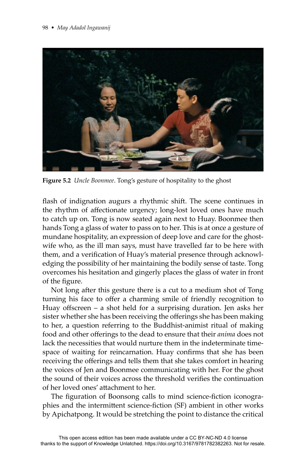

**Figure 5.2** *Uncle Boonmee*. Tong's gesture of hospitality to the ghost

flash of indignation augurs a rhythmic shift. The scene continues in the rhythm of affectionate urgency; long-lost loved ones have much to catch up on. Tong is now seated again next to Huay. Boonmee then hands Tong a glass of water to pass on to her. This is at once a gesture of mundane hospitality, an expression of deep love and care for the ghostwife who, as the ill man says, must have travelled far to be here with them, and a verification of Huay's material presence through acknowledging the possibility of her maintaining the bodily sense of taste. Tong overcomes his hesitation and gingerly places the glass of water in front of the figure.

Not long after this gesture there is a cut to a medium shot of Tong turning his face to offer a charming smile of friendly recognition to Huay offscreen – a shot held for a surprising duration. Jen asks her sister whether she has been receiving the offerings she has been making to her, a question referring to the Buddhist-animist ritual of making food and other offerings to the dead to ensure that their *anima* does not lack the necessities that would nurture them in the indeterminate timespace of waiting for reincarnation. Huay confirms that she has been receiving the offerings and tells them that she takes comfort in hearing the voices of Jen and Boonmee communicating with her. For the ghost the sound of their voices across the threshold verifies the continuation of her loved ones' attachment to her.

The figuration of Boonsong calls to mind science-fiction iconographies and the intermittent science-fiction (SF) ambient in other works by Apichatpong. It would be stretching the point to distance the critical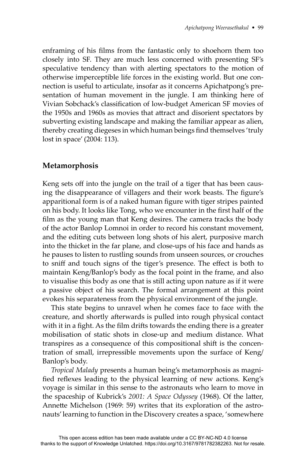enframing of his films from the fantastic only to shoehorn them too closely into SF. They are much less concerned with presenting SF's speculative tendency than with alerting spectators to the motion of otherwise imperceptible life forces in the existing world. But one connection is useful to articulate, insofar as it concerns Apichatpong's presentation of human movement in the jungle. I am thinking here of Vivian Sobchack's classification of low-budget American SF movies of the 1950s and 1960s as movies that attract and disorient spectators by subverting existing landscape and making the familiar appear as alien, thereby creating diegeses in which human beings find themselves 'truly lost in space' (2004: 113).

#### **Metamorphosis**

Keng sets off into the jungle on the trail of a tiger that has been causing the disappearance of villagers and their work beasts. The figure's apparitional form is of a naked human figure with tiger stripes painted on his body. It looks like Tong, who we encounter in the first half of the film as the young man that Keng desires. The camera tracks the body of the actor Banlop Lomnoi in order to record his constant movement, and the editing cuts between long shots of his alert, purposive march into the thicket in the far plane, and close-ups of his face and hands as he pauses to listen to rustling sounds from unseen sources, or crouches to sniff and touch signs of the tiger's presence. The effect is both to maintain Keng/Banlop's body as the focal point in the frame, and also to visualise this body as one that is still acting upon nature as if it were a passive object of his search. The formal arrangement at this point evokes his separateness from the physical environment of the jungle.

This state begins to unravel when he comes face to face with the creature, and shortly afterwards is pulled into rough physical contact with it in a fight. As the film drifts towards the ending there is a greater mobilisation of static shots in close-up and medium distance. What transpires as a consequence of this compositional shift is the concentration of small, irrepressible movements upon the surface of Keng/ Banlop's body.

*Tropical Malady* presents a human being's metamorphosis as magnified reflexes leading to the physical learning of new actions. Keng's voyage is similar in this sense to the astronauts who learn to move in the spaceship of Kubrick's *2001: A Space Odyssey* (1968). Of the latter, Annette Michelson (1969: 59) writes that its exploration of the astronauts' learning to function in the Discovery creates a space, 'somewhere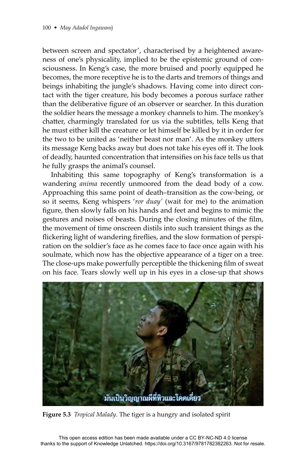between screen and spectator', characterised by a heightened awareness of one's physicality, implied to be the epistemic ground of consciousness. In Keng's case, the more bruised and poorly equipped he becomes, the more receptive he is to the darts and tremors of things and beings inhabiting the jungle's shadows. Having come into direct contact with the tiger creature, his body becomes a porous surface rather than the deliberative figure of an observer or searcher. In this duration the soldier hears the message a monkey channels to him. The monkey's chatter, charmingly translated for us via the subtitles, tells Keng that he must either kill the creature or let himself be killed by it in order for the two to be united as 'neither beast nor man'. As the monkey utters its message Keng backs away but does not take his eyes off it. The look of deadly, haunted concentration that intensifies on his face tells us that he fully grasps the animal's counsel.

Inhabiting this same topography of Keng's transformation is a wandering *anima* recently unmoored from the dead body of a cow. Approaching this same point of death–transition as the cow-being, or so it seems, Keng whispers '*ror duay'* (wait for me) to the animation figure, then slowly falls on his hands and feet and begins to mimic the gestures and noises of beasts. During the closing minutes of the film, the movement of time onscreen distils into such transient things as the flickering light of wandering fireflies, and the slow formation of perspiration on the soldier's face as he comes face to face once again with his soulmate, which now has the objective appearance of a tiger on a tree. The close-ups make powerfully perceptible the thickening film of sweat on his face. Tears slowly well up in his eyes in a close-up that shows



**Figure 5.3** *Tropical Malady*. The tiger is a hungry and isolated spirit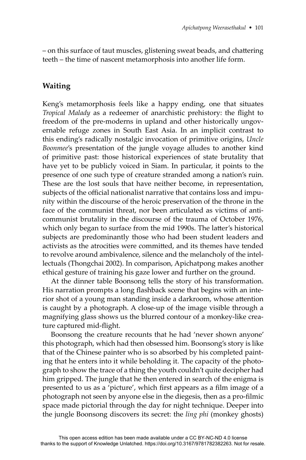– on this surface of taut muscles, glistening sweat beads, and chattering teeth – the time of nascent metamorphosis into another life form.

#### **Waiting**

Keng's metamorphosis feels like a happy ending, one that situates *Tropical Malady* as a redeemer of anarchistic prehistory: the flight to freedom of the pre-moderns in upland and other historically ungovernable refuge zones in South East Asia. In an implicit contrast to this ending's radically nostalgic invocation of primitive origins, *Uncle Boonmee*'s presentation of the jungle voyage alludes to another kind of primitive past: those historical experiences of state brutality that have yet to be publicly voiced in Siam. In particular, it points to the presence of one such type of creature stranded among a nation's ruin. These are the lost souls that have neither become, in representation, subjects of the official nationalist narrative that contains loss and impunity within the discourse of the heroic preservation of the throne in the face of the communist threat, nor been articulated as victims of anticommunist brutality in the discourse of the trauma of October 1976, which only began to surface from the mid 1990s. The latter's historical subjects are predominantly those who had been student leaders and activists as the atrocities were committed, and its themes have tended to revolve around ambivalence, silence and the melancholy of the intellectuals (Thongchai 2002). In comparison, Apichatpong makes another ethical gesture of training his gaze lower and further on the ground.

At the dinner table Boonsong tells the story of his transformation. His narration prompts a long flashback scene that begins with an interior shot of a young man standing inside a darkroom, whose attention is caught by a photograph. A close-up of the image visible through a magnifying glass shows us the blurred contour of a monkey-like creature captured mid-flight.

Boonsong the creature recounts that he had 'never shown anyone' this photograph, which had then obsessed him. Boonsong's story is like that of the Chinese painter who is so absorbed by his completed painting that he enters into it while beholding it. The capacity of the photograph to show the trace of a thing the youth couldn't quite decipher had him gripped. The jungle that he then entered in search of the enigma is presented to us as a 'picture', which first appears as a film image of a photograph not seen by anyone else in the diegesis, then as a pro-filmic space made pictorial through the day for night technique. Deeper into the jungle Boonsong discovers its secret: the *ling phi* (monkey ghosts)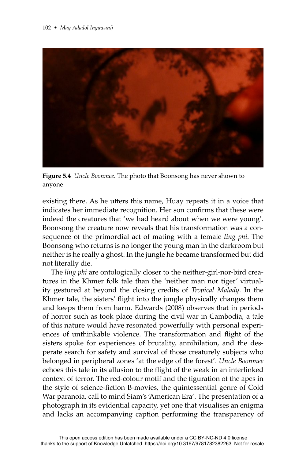

**Figure 5.4** *Uncle Boonmee*. The photo that Boonsong has never shown to anyone

existing there. As he utters this name, Huay repeats it in a voice that indicates her immediate recognition. Her son confirms that these were indeed the creatures that 'we had heard about when we were young'. Boonsong the creature now reveals that his transformation was a consequence of the primordial act of mating with a female *ling phi*. The Boonsong who returns is no longer the young man in the darkroom but neither is he really a ghost. In the jungle he became transformed but did not literally die.

The *ling phi* are ontologically closer to the neither-girl-nor-bird creatures in the Khmer folk tale than the 'neither man nor tiger' virtuality gestured at beyond the closing credits of *Tropical Malady*. In the Khmer tale, the sisters' flight into the jungle physically changes them and keeps them from harm. Edwards (2008) observes that in periods of horror such as took place during the civil war in Cambodia, a tale of this nature would have resonated powerfully with personal experiences of unthinkable violence. The transformation and flight of the sisters spoke for experiences of brutality, annihilation, and the desperate search for safety and survival of those creaturely subjects who belonged in peripheral zones 'at the edge of the forest'. *Uncle Boonmee* echoes this tale in its allusion to the flight of the weak in an interlinked context of terror. The red-colour motif and the figuration of the apes in the style of science-fiction B-movies, the quintessential genre of Cold War paranoia, call to mind Siam's 'American Era'. The presentation of a photograph in its evidential capacity, yet one that visualises an enigma and lacks an accompanying caption performing the transparency of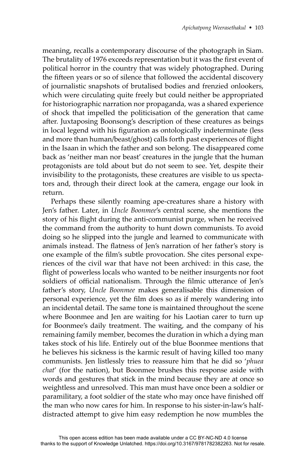meaning, recalls a contemporary discourse of the photograph in Siam. The brutality of 1976 exceeds representation but it was the first event of political horror in the country that was widely photographed. During the fifteen years or so of silence that followed the accidental discovery of journalistic snapshots of brutalised bodies and frenzied onlookers, which were circulating quite freely but could neither be appropriated for historiographic narration nor propaganda, was a shared experience of shock that impelled the politicisation of the generation that came after. Juxtaposing Boonsong's description of these creatures as beings in local legend with his figuration as ontologically indeterminate (less and more than human/beast/ghost) calls forth past experiences of flight in the Isaan in which the father and son belong. The disappeared come back as 'neither man nor beast' creatures in the jungle that the human protagonists are told about but do not seem to see. Yet, despite their invisibility to the protagonists, these creatures are visible to us spectators and, through their direct look at the camera, engage our look in return.

Perhaps these silently roaming ape-creatures share a history with Jen's father. Later, in *Uncle Boonmee*'s central scene, she mentions the story of his flight during the anti-communist purge, when he received the command from the authority to hunt down communists. To avoid doing so he slipped into the jungle and learned to communicate with animals instead. The flatness of Jen's narration of her father's story is one example of the film's subtle provocation. She cites personal experiences of the civil war that have not been archived: in this case, the flight of powerless locals who wanted to be neither insurgents nor foot soldiers of official nationalism. Through the filmic utterance of Jen's father's story, *Uncle Boonmee* makes generalisable this dimension of personal experience, yet the film does so as if merely wandering into an incidental detail. The same tone is maintained throughout the scene where Boonmee and Jen are waiting for his Laotian carer to turn up for Boonmee's daily treatment. The waiting, and the company of his remaining family member, becomes the duration in which a dying man takes stock of his life. Entirely out of the blue Boonmee mentions that he believes his sickness is the karmic result of having killed too many communists. Jen listlessly tries to reassure him that he did so '*phuea chat*' (for the nation), but Boonmee brushes this response aside with words and gestures that stick in the mind because they are at once so weightless and unresolved. This man must have once been a soldier or paramilitary, a foot soldier of the state who may once have finished off the man who now cares for him. In response to his sister-in-law's halfdistracted attempt to give him easy redemption he now mumbles the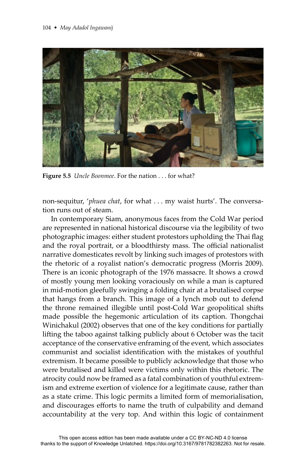

**Figure 5.5** *Uncle Boonmee*. For the nation . . . for what?

non-sequitur, 'phuea chat, for what . . . my waist hurts'. The conversation runs out of steam.

In contemporary Siam, anonymous faces from the Cold War period are represented in national historical discourse via the legibility of two photographic images: either student protestors upholding the Thai flag and the royal portrait, or a bloodthirsty mass. The official nationalist narrative domesticates revolt by linking such images of protestors with the rhetoric of a royalist nation's democratic progress (Morris 2009). There is an iconic photograph of the 1976 massacre. It shows a crowd of mostly young men looking voraciously on while a man is captured in mid-motion gleefully swinging a folding chair at a brutalised corpse that hangs from a branch. This image of a lynch mob out to defend the throne remained illegible until post-Cold War geopolitical shifts made possible the hegemonic articulation of its caption. Thongchai Winichakul (2002) observes that one of the key conditions for partially lifting the taboo against talking publicly about 6 October was the tacit acceptance of the conservative enframing of the event, which associates communist and socialist identification with the mistakes of youthful extremism. It became possible to publicly acknowledge that those who were brutalised and killed were victims only within this rhetoric. The atrocity could now be framed as a fatal combination of youthful extremism and extreme exertion of violence for a legitimate cause, rather than as a state crime. This logic permits a limited form of memorialisation, and discourages efforts to name the truth of culpability and demand accountability at the very top. And within this logic of containment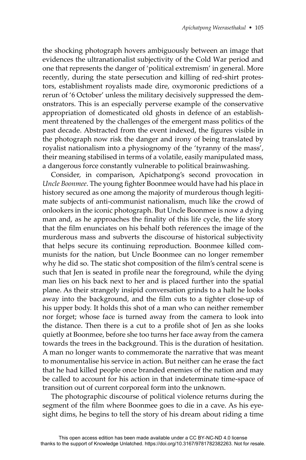the shocking photograph hovers ambiguously between an image that evidences the ultranationalist subjectivity of the Cold War period and one that represents the danger of 'political extremism' in general. More recently, during the state persecution and killing of red-shirt protestors, establishment royalists made dire, oxymoronic predictions of a rerun of '6 October' unless the military decisively suppressed the demonstrators. This is an especially perverse example of the conservative appropriation of domesticated old ghosts in defence of an establishment threatened by the challenges of the emergent mass politics of the past decade. Abstracted from the event indexed, the figures visible in the photograph now risk the danger and irony of being translated by royalist nationalism into a physiognomy of the 'tyranny of the mass', their meaning stabilised in terms of a volatile, easily manipulated mass, a dangerous force constantly vulnerable to political brainwashing.

Consider, in comparison, Apichatpong's second provocation in *Uncle Boonmee*. The young fighter Boonmee would have had his place in history secured as one among the majority of murderous though legitimate subjects of anti-communist nationalism, much like the crowd of onlookers in the iconic photograph. But Uncle Boonmee is now a dying man and, as he approaches the finality of this life cycle, the life story that the film enunciates on his behalf both references the image of the murderous mass and subverts the discourse of historical subjectivity that helps secure its continuing reproduction. Boonmee killed communists for the nation, but Uncle Boonmee can no longer remember why he did so. The static shot composition of the film's central scene is such that Jen is seated in profile near the foreground, while the dying man lies on his back next to her and is placed further into the spatial plane. As their strangely insipid conversation grinds to a halt he looks away into the background, and the film cuts to a tighter close-up of his upper body. It holds this shot of a man who can neither remember nor forget; whose face is turned away from the camera to look into the distance. Then there is a cut to a profile shot of Jen as she looks quietly at Boonmee, before she too turns her face away from the camera towards the trees in the background. This is the duration of hesitation. A man no longer wants to commemorate the narrative that was meant to monumentalise his service in action. But neither can he erase the fact that he had killed people once branded enemies of the nation and may be called to account for his action in that indeterminate time-space of transition out of current corporeal form into the unknown.

The photographic discourse of political violence returns during the segment of the film where Boonmee goes to die in a cave. As his eyesight dims, he begins to tell the story of his dream about riding a time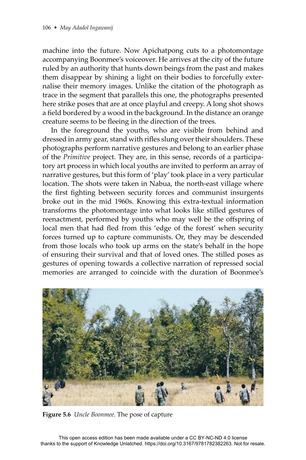machine into the future. Now Apichatpong cuts to a photomontage accompanying Boonmee's voiceover. He arrives at the city of the future ruled by an authority that hunts down beings from the past and makes them disappear by shining a light on their bodies to forcefully externalise their memory images. Unlike the citation of the photograph as trace in the segment that parallels this one, the photographs presented here strike poses that are at once playful and creepy. A long shot shows a field bordered by a wood in the background. In the distance an orange creature seems to be fleeing in the direction of the trees.

In the foreground the youths, who are visible from behind and dressed in army gear, stand with rifles slung over their shoulders. These photographs perform narrative gestures and belong to an earlier phase of the *Primitive* project. They are, in this sense, records of a participatory art process in which local youths are invited to perform an array of narrative gestures, but this form of 'play' took place in a very particular location. The shots were taken in Nabua, the north-east village where the first fighting between security forces and communist insurgents broke out in the mid 1960s. Knowing this extra-textual information transforms the photomontage into what looks like stilled gestures of reenactment, performed by youths who may well be the offspring of local men that had fled from this 'edge of the forest' when security forces turned up to capture communists. Or, they may be descended from those locals who took up arms on the state's behalf in the hope of ensuring their survival and that of loved ones. The stilled poses as gestures of opening towards a collective narration of repressed social memories are arranged to coincide with the duration of Boonmee's



**Figure 5.6** *Uncle Boonmee*. The pose of capture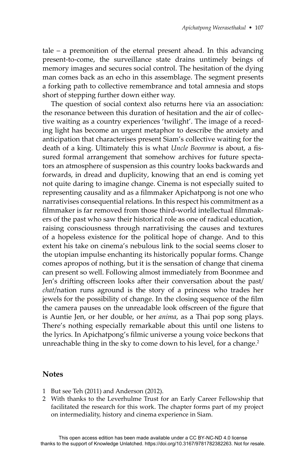tale – a premonition of the eternal present ahead. In this advancing present-to-come, the surveillance state drains untimely beings of memory images and secures social control. The hesitation of the dying man comes back as an echo in this assemblage. The segment presents a forking path to collective remembrance and total amnesia and stops short of stepping further down either way.

The question of social context also returns here via an association: the resonance between this duration of hesitation and the air of collective waiting as a country experiences 'twilight'. The image of a receding light has become an urgent metaphor to describe the anxiety and anticipation that characterises present Siam's collective waiting for the death of a king. Ultimately this is what *Uncle Boonmee* is about, a fissured formal arrangement that somehow archives for future spectators an atmosphere of suspension as this country looks backwards and forwards, in dread and duplicity, knowing that an end is coming yet not quite daring to imagine change. Cinema is not especially suited to representing causality and as a filmmaker Apichatpong is not one who narrativises consequential relations. In this respect his commitment as a filmmaker is far removed from those third-world intellectual filmmakers of the past who saw their historical role as one of radical education, raising consciousness through narrativising the causes and textures of a hopeless existence for the political hope of change. And to this extent his take on cinema's nebulous link to the social seems closer to the utopian impulse enchanting its historically popular forms. Change comes apropos of nothing, but it is the sensation of change that cinema can present so well. Following almost immediately from Boonmee and Jen's drifting offscreen looks after their conversation about the past/ *chat*/nation runs aground is the story of a princess who trades her jewels for the possibility of change. In the closing sequence of the film the camera pauses on the unreadable look offscreen of the figure that is Auntie Jen, or her double, or her *anima*, as a Thai pop song plays. There's nothing especially remarkable about this until one listens to the lyrics. In Apichatpong's filmic universe a young voice beckons that unreachable thing in the sky to come down to his level, for a change.<sup>2</sup>

#### **Notes**

- 1 But see Teh (2011) and Anderson (2012).
- 2 With thanks to the Leverhulme Trust for an Early Career Fellowship that facilitated the research for this work. The chapter forms part of my project on intermediality, history and cinema experience in Siam.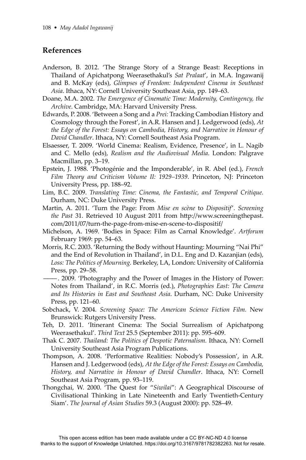#### **References**

- Anderson, B. 2012. 'The Strange Story of a Strange Beast: Receptions in Thailand of Apichatpong Weerasethakul's *Sat Pralaat*', in M.A. Ingawanij and B. McKay (eds), *Glimpses of Freedom: Independent Cinema in Southeast Asia*. Ithaca, NY: Cornell University Southeast Asia, pp. 149–63.
- Doane, M.A. 2002. *The Emergence of Cinematic Time: Modernity, Contingency, the Archive*. Cambridge, MA: Harvard University Press.
- Edwards, P. 2008. 'Between a Song and a *Prei:* Tracking Cambodian History and Cosmology through the Forest', in A.R. Hansen and J. Ledgerwood (eds), *At the Edge of the Forest: Essays on Cambodia, History, and Narrative in Honour of David Chandler*. Ithaca, NY: Cornell Southeast Asia Program.
- Elsaesser, T. 2009. 'World Cinema: Realism, Evidence, Presence', in L. Nagib and C. Mello (eds), *Realism and the Audiovisual Media*. London: Palgrave Macmillan, pp. 3–19.
- Epstein, J. 1988. 'Photogénie and the Imponderable', in R. Abel (ed.), *French Film Theory and Criticism Volume II: 1929–1939*. Princeton, NJ: Princeton University Press, pp. 188–92.
- Lim, B.C. 2009. *Translating Time: Cinema, the Fantastic, and Temporal Critique.*  Durham, NC: Duke University Press.
- Martin, A. 2011. 'Turn the Page: From *Mise en scène* to *Dispositif*'*. Screening the Past* 31. Retrieved 10 August 2011 from http://www.screeningthepast. com/2011/07/turn-the-page-from-mise-en-scene-to-dispositif/
- Michelson, A. 1969. 'Bodies in Space: Film as Carnal Knowledge'. *Artforum* February 1969: pp. 54–63.
- Morris, R.C. 2003. 'Returning the Body without Haunting: Mourning "Nai Phi" and the End of Revolution in Thailand', in D.L. Eng and D. Kazanjian (eds), *Loss: The Politics of Mourning.* Berkeley, LA, London: University of California Press, pp. 29–58.
	- ———. 2009. 'Photography and the Power of Images in the History of Power: Notes from Thailand', in R.C. Morris (ed.), *Photographies East: The Camera and Its Histories in East and Southeast Asia*. Durham, NC: Duke University Press, pp. 121–60.
- Sobchack, V. 2004. *Screening Space: The American Science Fiction Film.* New Brunswick: Rutgers University Press.
- Teh, D. 2011. 'Itinerant Cinema: The Social Surrealism of Apichatpong Weerasethakul'. *Third Text* 25.5 (September 2011): pp. 595–609.
- Thak C. 2007. *Thailand: The Politics of Despotic Paternalism.* Ithaca, NY: Cornell University Southeast Asia Program Publications.
- Thompson, A. 2008. 'Performative Realities: Nobody's Possession', in A.R. Hansen and J. Ledgerwood (eds), *At the Edge of the Forest: Essays on Cambodia, History, and Narrative in Honour of David Chandler*. Ithaca, NY: Cornell Southeast Asia Program, pp. 93–119.
- Thongchai, W. 2000. 'The Quest for "*Siwilai*": A Geographical Discourse of Civilisational Thinking in Late Nineteenth and Early Twentieth-Century Siam'. *The Journal of Asian Studies* 59.3 (August 2000): pp. 528–49.